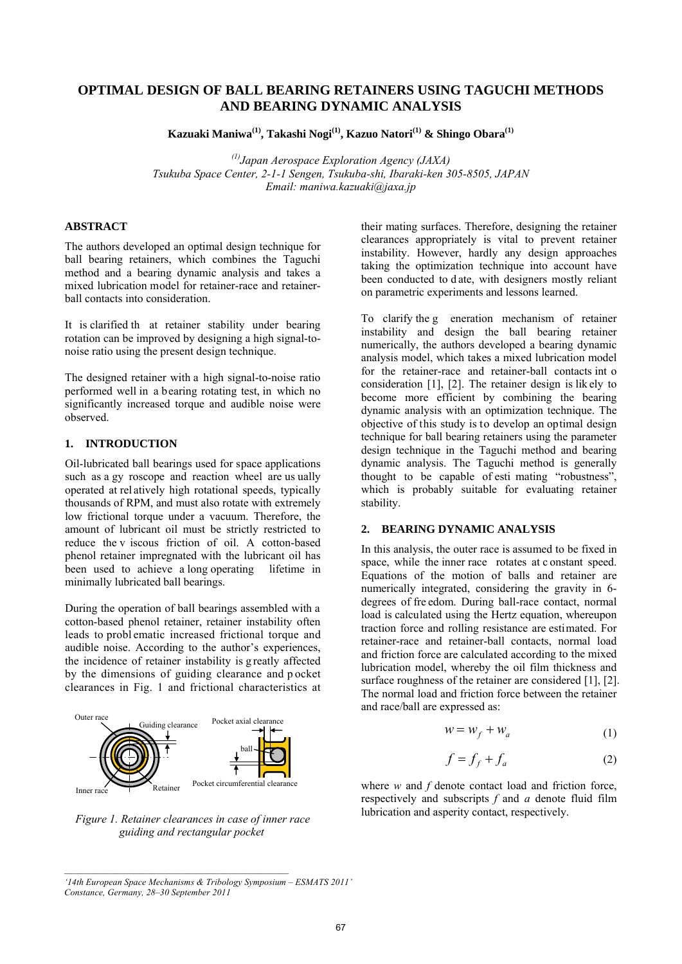# **OPTIMAL DESIGN OF BALL BEARING RETAINERS USING TAGUCHI METHODS AND BEARING DYNAMIC ANALYSIS**

**Kazuaki Maniwa(1), Takashi Nogi(1), Kazuo Natori(1) & Shingo Obara(1)**

*(1)Japan Aerospace Exploration Agency (JAXA) Tsukuba Space Center, 2-1-1 Sengen, Tsukuba-shi, Ibaraki-ken 305-8505, JAPAN Email: maniwa.kazuaki@jaxa.jp* 

## **ABSTRACT**

The authors developed an optimal design technique for ball bearing retainers, which combines the Taguchi method and a bearing dynamic analysis and takes a mixed lubrication model for retainer-race and retainerball contacts into consideration.

It is clarified th at retainer stability under bearing rotation can be improved by designing a high signal-tonoise ratio using the present design technique.

The designed retainer with a high signal-to-noise ratio performed well in a bearing rotating test, in which no significantly increased torque and audible noise were observed.

#### **1. INTRODUCTION**

Oil-lubricated ball bearings used for space applications such as a gy roscope and reaction wheel are us ually operated at rel atively high rotational speeds, typically thousands of RPM, and must also rotate with extremely low frictional torque under a vacuum. Therefore, the amount of lubricant oil must be strictly restricted to reduce the v iscous friction of oil. A cotton-based phenol retainer impregnated with the lubricant oil has been used to achieve a long operating lifetime in minimally lubricated ball bearings.

During the operation of ball bearings assembled with a cotton-based phenol retainer, retainer instability often leads to probl ematic increased frictional torque and audible noise. According to the author's experiences, the incidence of retainer instability is g reatly affected by the dimensions of guiding clearance and p ocket clearances in Fig. 1 and frictional characteristics at



*Figure 1. Retainer clearances in case of inner race guiding and rectangular pocket*

their mating surfaces. Therefore, designing the retainer clearances appropriately is vital to prevent retainer instability. However, hardly any design approaches taking the optimization technique into account have been conducted to d ate, with designers mostly reliant on parametric experiments and lessons learned.

To clarify the g eneration mechanism of retainer instability and design the ball bearing retainer numerically, the authors developed a bearing dynamic analysis model, which takes a mixed lubrication model for the retainer-race and retainer-ball contacts int o consideration [1], [2]. The retainer design is lik ely to become more efficient by combining the bearing dynamic analysis with an optimization technique. The objective of this study is to develop an optimal design technique for ball bearing retainers using the parameter design technique in the Taguchi method and bearing dynamic analysis. The Taguchi method is generally thought to be capable of esti mating "robustness", which is probably suitable for evaluating retainer stability.

#### **2. BEARING DYNAMIC ANALYSIS**

In this analysis, the outer race is assumed to be fixed in space, while the inner race rotates at c onstant speed. Equations of the motion of balls and retainer are numerically integrated, considering the gravity in 6 degrees of fre edom. During ball-race contact, normal load is calculated using the Hertz equation, whereupon traction force and rolling resistance are estimated. For retainer-race and retainer-ball contacts, normal load and friction force are calculated according to the mixed lubrication model, whereby the oil film thickness and surface roughness of the retainer are considered [1], [2]. The normal load and friction force between the retainer and race/ball are expressed as:

$$
w = w_f + w_a \tag{1}
$$

$$
f = f_f + f_a \tag{2}
$$

where *w* and *f* denote contact load and friction force, respectively and subscripts *f* and *a* denote fluid film lubrication and asperity contact, respectively.

*<sup>&#</sup>x27;14th European Space Mechanisms & Tribology Symposium – ESMATS 2011' Constance, Germany, 28–30 September 2011*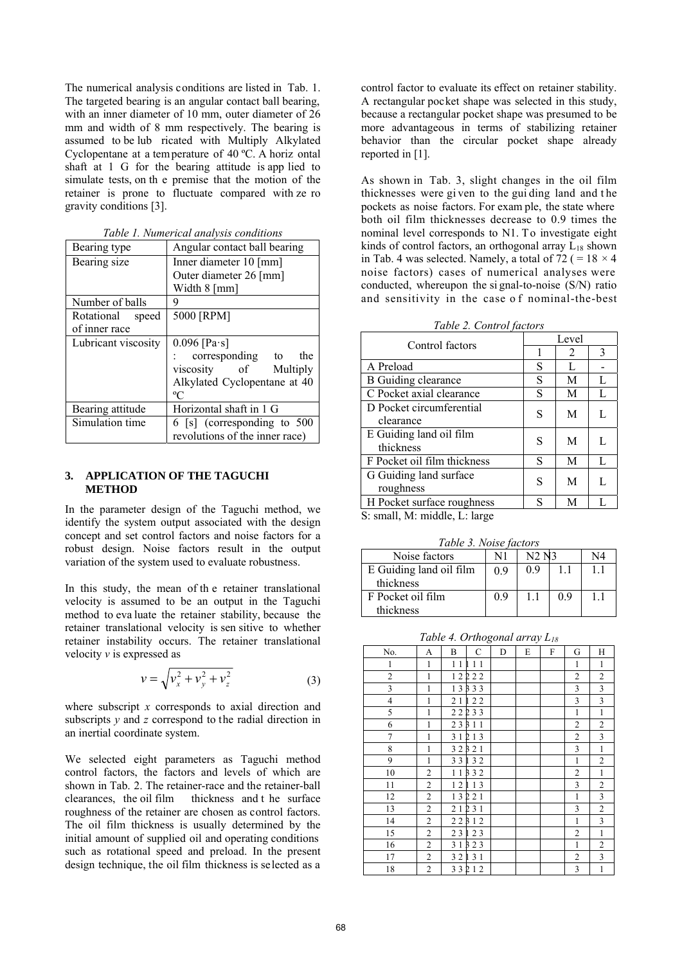The numerical analysis conditions are listed in Tab. 1. The targeted bearing is an angular contact ball bearing, with an inner diameter of 10 mm, outer diameter of 26 mm and width of 8 mm respectively. The bearing is assumed to be lub ricated with Multiply Alkylated Cyclopentane at a temperature of 40 ºC. A horiz ontal shaft at 1 G for the bearing attitude is app lied to simulate tests, on th e premise that the motion of the retainer is prone to fluctuate compared with ze ro gravity conditions [3].

| Bearing type        | Angular contact ball bearing   |  |  |
|---------------------|--------------------------------|--|--|
| Bearing size        | Inner diameter 10 [mm]         |  |  |
|                     | Outer diameter 26 [mm]         |  |  |
|                     | Width 8 [mm]                   |  |  |
| Number of balls     | 9                              |  |  |
| Rotational<br>speed | 5000 [RPM]                     |  |  |
| of inner race       |                                |  |  |
| Lubricant viscosity | 0.096 [Pa·s]                   |  |  |
|                     | corresponding to<br>the        |  |  |
|                     | viscosity of<br>Multiply       |  |  |
|                     | Alkylated Cyclopentane at 40   |  |  |
|                     | $\rm ^{o}C$                    |  |  |
| Bearing attitude    | Horizontal shaft in 1 G        |  |  |
| Simulation time     | 6 [s] (corresponding to 500    |  |  |
|                     | revolutions of the inner race) |  |  |

*Table 1. Numerical analysis conditions* 

## **3. APPLICATION OF THE TAGUCHI METHOD**

In the parameter design of the Taguchi method, we identify the system output associated with the design concept and set control factors and noise factors for a robust design. Noise factors result in the output variation of the system used to evaluate robustness.

In this study, the mean of th e retainer translational velocity is assumed to be an output in the Taguchi method to eva luate the retainer stability, because the retainer translational velocity is sen sitive to whether retainer instability occurs. The retainer translational velocity *v* is expressed as

$$
v = \sqrt{v_x^2 + v_y^2 + v_z^2}
$$
 (3)

where subscript *x* corresponds to axial direction and subscripts *y* and *z* correspond to the radial direction in an inertial coordinate system.

We selected eight parameters as Taguchi method control factors, the factors and levels of which are shown in Tab. 2. The retainer-race and the retainer-ball clearances, the oil film thickness and the surface thickness and t he surface roughness of the retainer are chosen as control factors. The oil film thickness is usually determined by the initial amount of supplied oil and operating conditions such as rotational speed and preload. In the present design technique, the oil film thickness is selected as a

control factor to evaluate its effect on retainer stability. A rectangular pocket shape was selected in this study, because a rectangular pocket shape was presumed to be more advantageous in terms of stabilizing retainer behavior than the circular pocket shape already reported in [1].

As shown in Tab. 3, slight changes in the oil film thicknesses were gi ven to the gui ding land and t he pockets as noise factors. For exam ple, the state where both oil film thicknesses decrease to 0.9 times the nominal level corresponds to N1. To investigate eight kinds of control factors, an orthogonal array  $\overline{L}_{18}$  shown in Tab. 4 was selected. Namely, a total of  $72 (= 18 \times 4)$ noise factors) cases of numerical analyses were conducted, whereupon the si gnal-to-noise (S/N) ratio and sensitivity in the case o f nominal-the-best

*Table 2. Control factors* 

| Control factors                       | Level |   |   |  |  |
|---------------------------------------|-------|---|---|--|--|
|                                       |       | 2 | 3 |  |  |
| A Preload                             | S     | L |   |  |  |
| <b>B</b> Guiding clearance            | S     | M | L |  |  |
| C Pocket axial clearance              | S     | M | L |  |  |
| D Pocket circumferential<br>clearance | S     | M | L |  |  |
| E Guiding land oil film<br>thickness  | S     | M | L |  |  |
| F Pocket oil film thickness           | S     | M | L |  |  |
| G Guiding land surface<br>roughness   | S     | M | L |  |  |
| H Pocket surface roughness            | S     | М |   |  |  |

S: small, M: middle, L: large

*Table 3. Noise factors* 

| Noise factors           |     | N2 N3 |    | N4 |
|-------------------------|-----|-------|----|----|
| E Guiding land oil film | 0.9 | 0.9   | 11 |    |
| thickness               |     |       |    |    |
| F Pocket oil film       | 09  |       | 09 | 11 |
| thickness               |     |       |    |    |

*Table 4. Orthogonal array L18*

| No.                     | A                       | B               | $\mathcal{C}$ | D | E | F | G                       | H                       |
|-------------------------|-------------------------|-----------------|---------------|---|---|---|-------------------------|-------------------------|
| $\,1\,$                 | $\mathbf 1$             | 11              | 11<br>n       |   |   |   | $\,1\,$                 | $\mathbf{1}$            |
| $\overline{\mathbf{c}}$ | $\mathbf{1}$            | 12              | 222           |   |   |   | $\overline{\mathbf{c}}$ | $\overline{c}$          |
| $\overline{\mathbf{3}}$ | $\mathbf{1}$            | $\overline{13}$ | 333           |   |   |   | $\mathfrak{Z}$          | 3                       |
| $\overline{4}$          | $\mathbf{1}$            | 21              | 122           |   |   |   | 3                       | 3                       |
| 5                       | $\mathbf{1}$            | $\overline{22}$ | 233           |   |   |   | $\mathbf{1}$            | $\mathbf{1}$            |
| 6                       | $\mathbf{1}$            | 23              | 3 1 1         |   |   |   | $\overline{c}$          | $\overline{c}$          |
| 7                       | $\mathbf{1}$            | 31              | 2 1 3         |   |   |   | $\overline{c}$          | 3                       |
| 8                       | $\mathbf{1}$            | 32              | 3 2 1         |   |   |   | 3                       | $\mathbf{1}$            |
| 9                       | $\mathbf{1}$            | 33              | 132           |   |   |   | $\mathbf 1$             | $\overline{c}$          |
| 10                      | $\overline{2}$          | 11              | 332           |   |   |   | $\overline{c}$          | $\,1$                   |
| 11                      | $\overline{2}$          | 12              | 113           |   |   |   | 3                       | $\overline{c}$          |
| 12                      | $\overline{c}$          | $\overline{13}$ | 221           |   |   |   | $\mathbf{1}$            | $\overline{\mathbf{3}}$ |
| 13                      | $\overline{c}$          | 21              | 231           |   |   |   | 3                       | $\overline{c}$          |
| 14                      | $\overline{c}$          | 22              | 312           |   |   |   | $\mathbf{1}$            | $\mathfrak{Z}$          |
| 15                      | $\mathbf{2}$            | 23              | 123           |   |   |   | $\overline{c}$          | $\mathbf{1}$            |
| 16                      | $\overline{\mathbf{c}}$ | 31              | 323           |   |   |   | $\mathbf 1$             | $\overline{c}$          |
| 17                      | $\overline{c}$          | $3\;2$          | 131           |   |   |   | $\overline{c}$          | 3                       |
| 18                      | $\overline{c}$          |                 | 33212         |   |   |   | 3                       | $\mathbf{1}$            |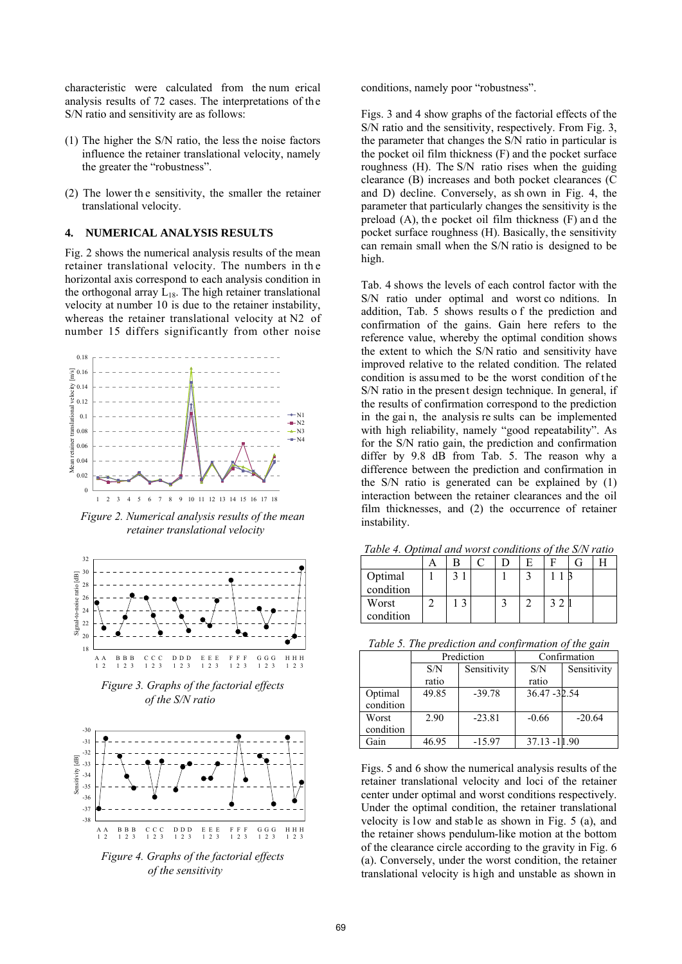characteristic were calculated from the num erical analysis results of 72 cases. The interpretations of the S/N ratio and sensitivity are as follows:

- (1) The higher the S/N ratio, the less the noise factors influence the retainer translational velocity, namely the greater the "robustness".
- (2) The lower th e sensitivity, the smaller the retainer translational velocity.

## **4. NUMERICAL ANALYSIS RESULTS**

Fig. 2 shows the numerical analysis results of the mean retainer translational velocity. The numbers in th e horizontal axis correspond to each analysis condition in the orthogonal array  $L_{18}$ . The high retainer translational velocity at number 10 is due to the retainer instability, whereas the retainer translational velocity at N2 of number 15 differs significantly from other noise



*Figure 2. Numerical analysis results of the mean retainer translational velocity* 



*Figure 3. Graphs of the factorial effects of the S/N ratio* 



*Figure 4. Graphs of the factorial effects of the sensitivity* 

conditions, namely poor "robustness".

Figs. 3 and 4 show graphs of the factorial effects of the S/N ratio and the sensitivity, respectively. From Fig. 3, the parameter that changes the S/N ratio in particular is the pocket oil film thickness (F) and the pocket surface roughness (H). The S/N ratio rises when the guiding clearance (B) increases and both pocket clearances (C and D) decline. Conversely, as sh own in Fig. 4, the parameter that particularly changes the sensitivity is the preload (A), th e pocket oil film thickness (F) an d the pocket surface roughness (H). Basically, the sensitivity can remain small when the S/N ratio is designed to be high.

Tab. 4 shows the levels of each control factor with the S/N ratio under optimal and worst co nditions. In addition, Tab. 5 shows results o f the prediction and confirmation of the gains. Gain here refers to the reference value, whereby the optimal condition shows the extent to which the S/N ratio and sensitivity have improved relative to the related condition. The related condition is assumed to be the worst condition of the S/N ratio in the present design technique. In general, if the results of confirmation correspond to the prediction in the gai n, the analysis re sults can be implemented with high reliability, namely "good repeatability". As for the S/N ratio gain, the prediction and confirmation differ by 9.8 dB from Tab. 5. The reason why a difference between the prediction and confirmation in the S/N ratio is generated can be explained by (1) interaction between the retainer clearances and the oil film thicknesses, and (2) the occurrence of retainer instability.

| Tuble 1. Optimal and worst conditions of the SATT tame |  |  |  |  |  |  |
|--------------------------------------------------------|--|--|--|--|--|--|
|                                                        |  |  |  |  |  |  |
| Optimal                                                |  |  |  |  |  |  |
| condition                                              |  |  |  |  |  |  |
| Worst                                                  |  |  |  |  |  |  |
| condition                                              |  |  |  |  |  |  |

*Table 4. Optimal and worst conditions of the S/N ratio* 

*Table 5. The prediction and confirmation of the gain* 

|                      |       | Prediction  | Confirmation    |             |  |
|----------------------|-------|-------------|-----------------|-------------|--|
|                      | S/N   | Sensitivity | S/N             | Sensitivity |  |
|                      | ratio |             | ratio           |             |  |
| Optimal<br>condition | 49.85 | $-39.78$    | 36.47 - 32.54   |             |  |
| Worst                | 2.90  | $-23.81$    | $-0.66$         | $-20.64$    |  |
| condition            |       |             |                 |             |  |
| Gain                 | 46.95 | $-15.97$    | $37.13 - 11.90$ |             |  |

Figs. 5 and 6 show the numerical analysis results of the retainer translational velocity and loci of the retainer center under optimal and worst conditions respectively. Under the optimal condition, the retainer translational velocity is low and stab le as shown in Fig. 5 (a), and the retainer shows pendulum-like motion at the bottom of the clearance circle according to the gravity in Fig. 6 (a). Conversely, under the worst condition, the retainer translational velocity is high and unstable as shown in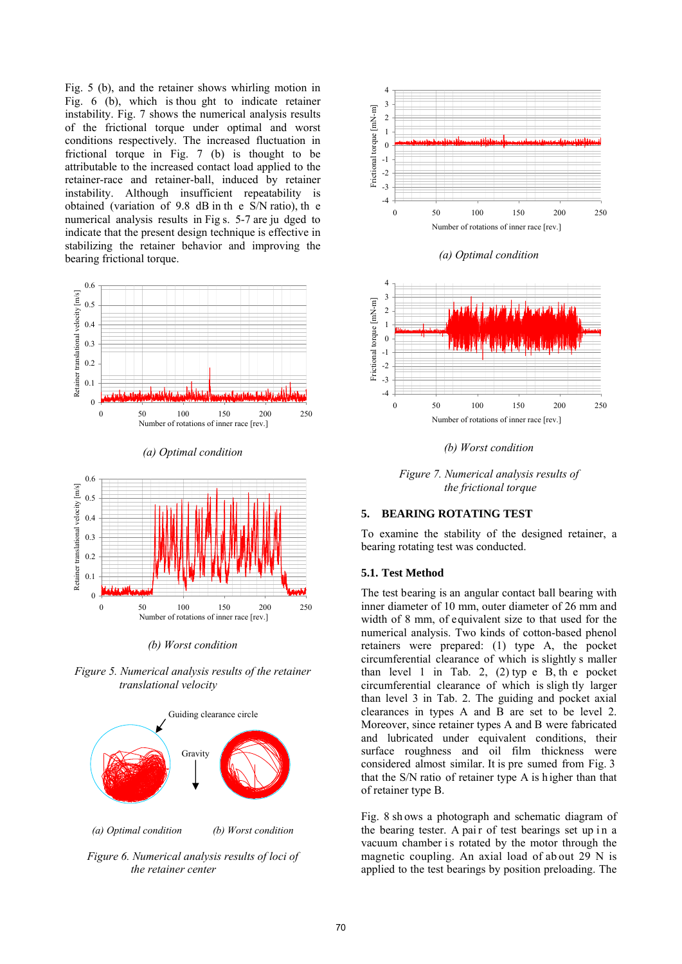Fig. 5 (b), and the retainer shows whirling motion in Fig. 6 (b), which is thou ght to indicate retainer instability. Fig. 7 shows the numerical analysis results of the frictional torque under optimal and worst conditions respectively. The increased fluctuation in frictional torque in Fig. 7 (b) is thought to be attributable to the increased contact load applied to the retainer-race and retainer-ball, induced by retainer instability. Although insufficient repeatability is obtained (variation of 9.8 dB in th e S/N ratio), th e numerical analysis results in Fig s. 5-7 are ju dged to indicate that the present design technique is effective in stabilizing the retainer behavior and improving the bearing frictional torque.



*(a) Optimal condition* 



*(b) Worst condition* 

*Figure 5. Numerical analysis results of the retainer translational velocity* 



*Figure 6. Numerical analysis results of loci of the retainer center* 



*(a) Optimal condition*



*(b) Worst condition*

*Figure 7. Numerical analysis results of the frictional torque* 

#### **5. BEARING ROTATING TEST**

To examine the stability of the designed retainer, a bearing rotating test was conducted.

## **5.1. Test Method**

The test bearing is an angular contact ball bearing with inner diameter of 10 mm, outer diameter of 26 mm and width of 8 mm, of equivalent size to that used for the numerical analysis. Two kinds of cotton-based phenol retainers were prepared: (1) type A, the pocket circumferential clearance of which is slightly s maller than level 1 in Tab. 2,  $(2)$  typ e B, the pocket circumferential clearance of which is sligh tly larger than level 3 in Tab. 2. The guiding and pocket axial clearances in types A and B are set to be level 2. Moreover, since retainer types A and B were fabricated and lubricated under equivalent conditions, their surface roughness and oil film thickness were considered almost similar. It is pre sumed from Fig. 3 that the S/N ratio of retainer type A is h igher than that of retainer type B.

Fig. 8 sh ows a photograph and schematic diagram of the bearing tester. A pair of test bearings set up in a vacuum chamber is rotated by the motor through the magnetic coupling. An axial load of ab out 29 N is applied to the test bearings by position preloading. The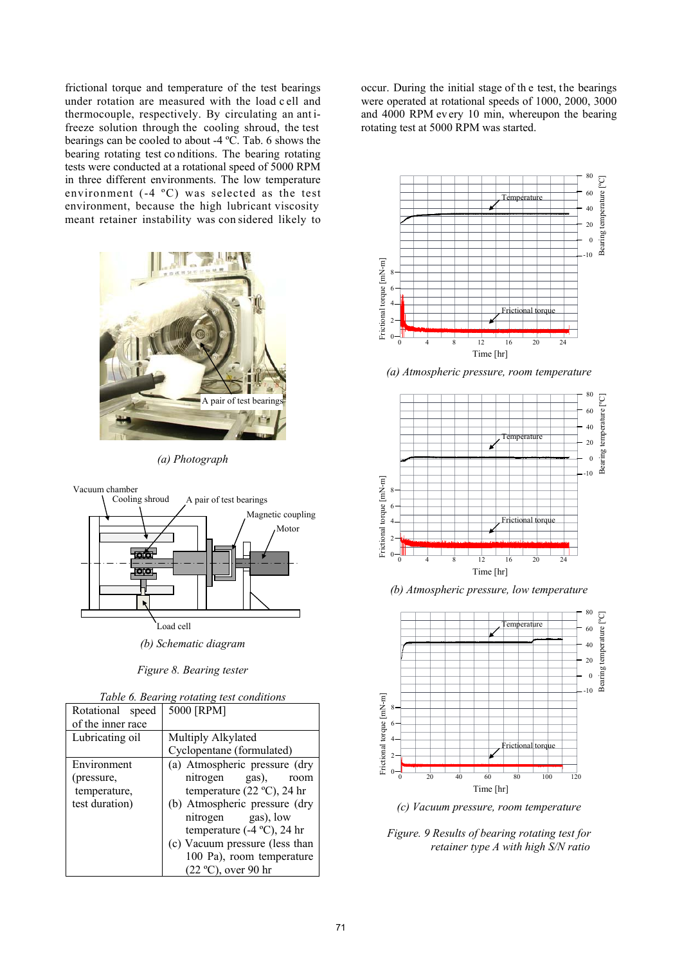frictional torque and temperature of the test bearings under rotation are measured with the load c ell and thermocouple, respectively. By circulating an ant ifreeze solution through the cooling shroud, the test bearings can be cooled to about -4 ºC. Tab. 6 shows the bearing rotating test co nditions. The bearing rotating tests were conducted at a rotational speed of 5000 RPM in three different environments. The low temperature environment (-4 ºC) was selected as the test environment, because the high lubricant viscosity meant retainer instability was con sidered likely to



*(a) Photograph* 



*Figure 8. Bearing tester* 

|  |  |  |  | Table 6. Bearing rotating test conditions |
|--|--|--|--|-------------------------------------------|
|--|--|--|--|-------------------------------------------|

| Rotational<br>speed | 5000 [RPM]                           |
|---------------------|--------------------------------------|
| of the inner race   |                                      |
| Lubricating oil     | Multiply Alkylated                   |
|                     | Cyclopentane (formulated)            |
| Environment         | (a) Atmospheric pressure (dry        |
| (pressure,          | nitrogen gas), room                  |
| temperature,        | temperature (22 $^{\circ}$ C), 24 hr |
| test duration)      | (b) Atmospheric pressure (dry        |
|                     | nitrogen gas), low                   |
|                     | temperature $(-4 °C)$ , 24 hr        |
|                     | (c) Vacuum pressure (less than       |
|                     | 100 Pa), room temperature            |
|                     | $(22 °C)$ , over 90 hr               |

occur. During the initial stage of th e test, the bearings were operated at rotational speeds of 1000, 2000, 3000 and 4000 RPM ev ery 10 min, whereupon the bearing rotating test at 5000 RPM was started.



*(a) Atmospheric pressure, room temperature* 



*(b) Atmospheric pressure, low temperature*



*(c) Vacuum pressure, room temperature* 

*Figure. 9 Results of bearing rotating test for retainer type A with high S/N ratio*